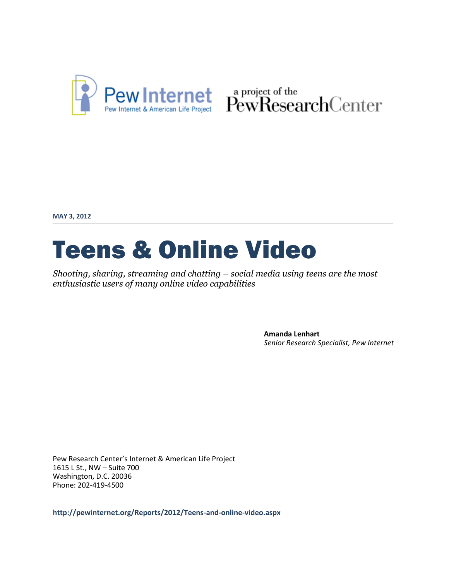

Pew Internet & American Life Project PewResearchCenter

**MAY 3, 2012**

# Teens & Online Video

*Shooting, sharing, streaming and chatting – social media using teens are the most enthusiastic users of many online video capabilities*

> **Amanda Lenhart** *Senior Research Specialist, Pew Internet*

Pew Research Center's Internet & American Life Project 1615 L St., NW – Suite 700 Washington, D.C. 20036 Phone: 202-419-4500

**http://pewinternet.org/Reports/2012/Teens-and-online-video.aspx**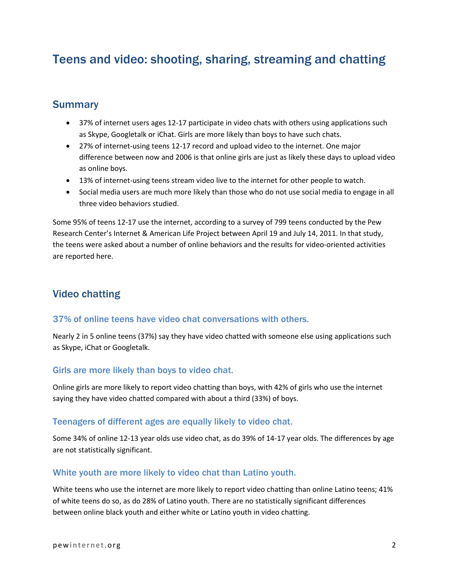# Teens and video: shooting, sharing, streaming and chatting

# **Summary**

- 37% of internet users ages 12-17 participate in video chats with others using applications such as Skype, Googletalk or iChat. Girls are more likely than boys to have such chats.
- 27% of internet-using teens 12-17 record and upload video to the internet. One major difference between now and 2006 is that online girls are just as likely these days to upload video as online boys.
- 13% of internet-using teens stream video live to the internet for other people to watch.
- Social media users are much more likely than those who do not use social media to engage in all three video behaviors studied.

Some 95% of teens 12-17 use the internet, according to a survey of 799 teens conducted by the Pew Research Center's Internet & American Life Project between April 19 and July 14, 2011. In that study, the teens were asked about a number of online behaviors and the results for video-oriented activities are reported here.

# Video chatting

### 37% of online teens have video chat conversations with others.

Nearly 2 in 5 online teens (37%) say they have video chatted with someone else using applications such as Skype, iChat or Googletalk.

### Girls are more likely than boys to video chat.

Online girls are more likely to report video chatting than boys, with 42% of girls who use the internet saying they have video chatted compared with about a third (33%) of boys.

#### Teenagers of different ages are equally likely to video chat.

Some 34% of online 12-13 year olds use video chat, as do 39% of 14-17 year olds. The differences by age are not statistically significant.

### White youth are more likely to video chat than Latino youth.

White teens who use the internet are more likely to report video chatting than online Latino teens; 41% of white teens do so, as do 28% of Latino youth. There are no statistically significant differences between online black youth and either white or Latino youth in video chatting.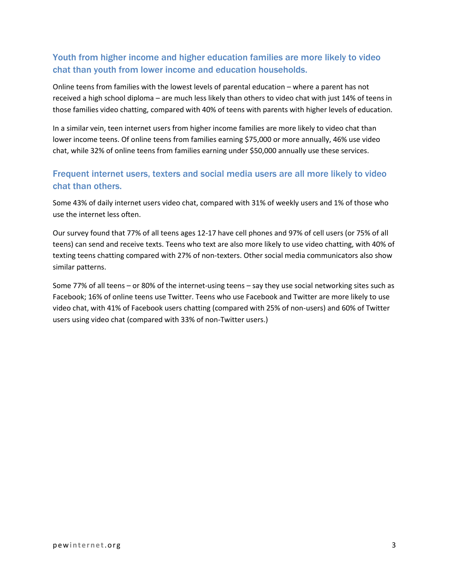# Youth from higher income and higher education families are more likely to video chat than youth from lower income and education households.

Online teens from families with the lowest levels of parental education – where a parent has not received a high school diploma – are much less likely than others to video chat with just 14% of teens in those families video chatting, compared with 40% of teens with parents with higher levels of education.

In a similar vein, teen internet users from higher income families are more likely to video chat than lower income teens. Of online teens from families earning \$75,000 or more annually, 46% use video chat, while 32% of online teens from families earning under \$50,000 annually use these services.

# Frequent internet users, texters and social media users are all more likely to video chat than others.

Some 43% of daily internet users video chat, compared with 31% of weekly users and 1% of those who use the internet less often.

Our survey found that 77% of all teens ages 12-17 have cell phones and 97% of cell users (or 75% of all teens) can send and receive texts. Teens who text are also more likely to use video chatting, with 40% of texting teens chatting compared with 27% of non-texters. Other social media communicators also show similar patterns.

Some 77% of all teens – or 80% of the internet-using teens – say they use social networking sites such as Facebook; 16% of online teens use Twitter. Teens who use Facebook and Twitter are more likely to use video chat, with 41% of Facebook users chatting (compared with 25% of non-users) and 60% of Twitter users using video chat (compared with 33% of non-Twitter users.)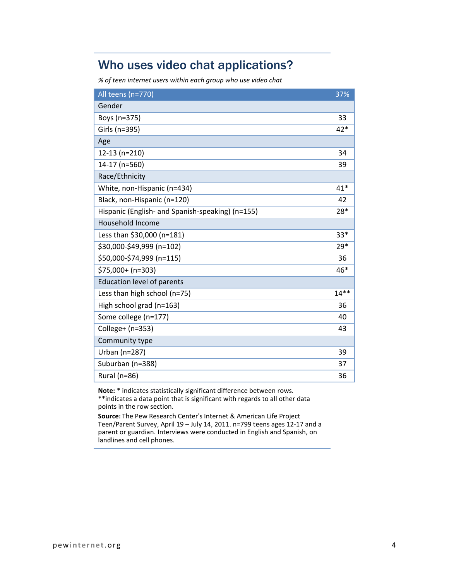# Who uses video chat applications?

*% of teen internet users within each group who use video chat*

| All teens (n=770)                                | 37%    |
|--------------------------------------------------|--------|
| Gender                                           |        |
| Boys (n=375)                                     | 33     |
| Girls (n=395)                                    | $42*$  |
| Age                                              |        |
| 12-13 (n=210)                                    | 34     |
| 14-17 (n=560)                                    | 39     |
| Race/Ethnicity                                   |        |
| White, non-Hispanic (n=434)                      | $41*$  |
| Black, non-Hispanic (n=120)                      | 42     |
| Hispanic (English- and Spanish-speaking) (n=155) | 28*    |
| <b>Household Income</b>                          |        |
| Less than \$30,000 (n=181)                       | $33*$  |
| \$30,000-\$49,999 (n=102)                        | $29*$  |
| \$50,000-\$74,999 (n=115)                        | 36     |
| \$75,000+ (n=303)                                | 46*    |
| <b>Education level of parents</b>                |        |
| Less than high school (n=75)                     | $14**$ |
| High school grad (n=163)                         | 36     |
| Some college (n=177)                             | 40     |
| College+ (n=353)                                 | 43     |
| Community type                                   |        |
| Urban (n=287)                                    | 39     |
| Suburban (n=388)                                 | 37     |
| Rural (n=86)                                     | 36     |

**Note:** \* indicates statistically significant difference between rows. \*\*indicates a data point that is significant with regards to all other data points in the row section.

**Source:** The Pew Research Center's Internet & American Life Project Teen/Parent Survey, April 19 – July 14, 2011. n=799 teens ages 12-17 and a parent or guardian. Interviews were conducted in English and Spanish, on landlines and cell phones.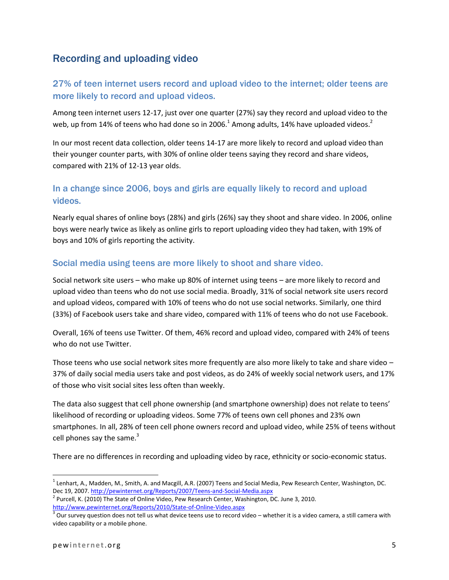# Recording and uploading video

# 27% of teen internet users record and upload video to the internet; older teens are more likely to record and upload videos.

Among teen internet users 12-17, just over one quarter (27%) say they record and upload video to the web, up from 14% of teens who had done so in 2006.<sup>1</sup> Among adults, 14% have uploaded videos.<sup>2</sup>

In our most recent data collection, older teens 14-17 are more likely to record and upload video than their younger counter parts, with 30% of online older teens saying they record and share videos, compared with 21% of 12-13 year olds.

### In a change since 2006, boys and girls are equally likely to record and upload videos.

Nearly equal shares of online boys (28%) and girls (26%) say they shoot and share video. In 2006, online boys were nearly twice as likely as online girls to report uploading video they had taken, with 19% of boys and 10% of girls reporting the activity.

### Social media using teens are more likely to shoot and share video.

Social network site users – who make up 80% of internet using teens – are more likely to record and upload video than teens who do not use social media. Broadly, 31% of social network site users record and upload videos, compared with 10% of teens who do not use social networks. Similarly, one third (33%) of Facebook users take and share video, compared with 11% of teens who do not use Facebook.

Overall, 16% of teens use Twitter. Of them, 46% record and upload video, compared with 24% of teens who do not use Twitter.

Those teens who use social network sites more frequently are also more likely to take and share video – 37% of daily social media users take and post videos, as do 24% of weekly social network users, and 17% of those who visit social sites less often than weekly.

The data also suggest that cell phone ownership (and smartphone ownership) does not relate to teens' likelihood of recording or uploading videos. Some 77% of teens own cell phones and 23% own smartphones. In all, 28% of teen cell phone owners record and upload video, while 25% of teens without cell phones say the same. $3$ 

There are no differences in recording and uploading video by race, ethnicity or socio-economic status.

 $\overline{\phantom{a}}$ 

 $^1$  Lenhart, A., Madden, M., Smith, A. and Macgill, A.R. (2007) Teens and Social Media, Pew Research Center, Washington, DC. Dec 19, 2007.<http://pewinternet.org/Reports/2007/Teens-and-Social-Media.aspx>

<sup>&</sup>lt;sup>2</sup> Purcell, K. (2010) The State of Online Video, Pew Research Center, Washington, DC. June 3, 2010. <http://www.pewinternet.org/Reports/2010/State-of-Online-Video.aspx>

 $^3$  Our survey question does not tell us what device teens use to record video – whether it is a video camera, a still camera with video capability or a mobile phone.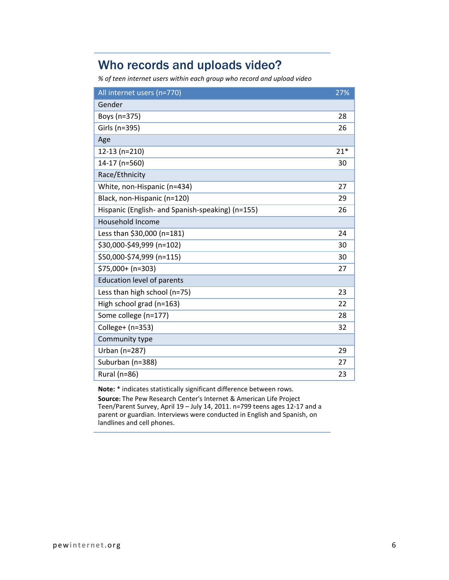# Who records and uploads video?

*% of teen internet users within each group who record and upload video*

| All internet users (n=770)                       | 27%   |
|--------------------------------------------------|-------|
| Gender                                           |       |
| Boys (n=375)                                     | 28    |
| Girls (n=395)                                    | 26    |
| Age                                              |       |
| $12-13$ (n=210)                                  | $21*$ |
| 14-17 (n=560)                                    | 30    |
| Race/Ethnicity                                   |       |
| White, non-Hispanic (n=434)                      | 27    |
| Black, non-Hispanic (n=120)                      | 29    |
| Hispanic (English- and Spanish-speaking) (n=155) | 26    |
| <b>Household Income</b>                          |       |
| Less than \$30,000 (n=181)                       | 24    |
| \$30,000-\$49,999 (n=102)                        | 30    |
| \$50,000-\$74,999 (n=115)                        | 30    |
| $$75,000+ (n=303)$                               | 27    |
| <b>Education level of parents</b>                |       |
| Less than high school (n=75)                     | 23    |
| High school grad (n=163)                         | 22    |
| Some college (n=177)                             | 28    |
| College+ (n=353)                                 | 32    |
| Community type                                   |       |
| Urban (n=287)                                    | 29    |
| Suburban (n=388)                                 | 27    |
| Rural (n=86)                                     | 23    |

**Note:** \* indicates statistically significant difference between rows.

**Source:** The Pew Research Center's Internet & American Life Project Teen/Parent Survey, April 19 – July 14, 2011. n=799 teens ages 12-17 and a parent or guardian. Interviews were conducted in English and Spanish, on landlines and cell phones.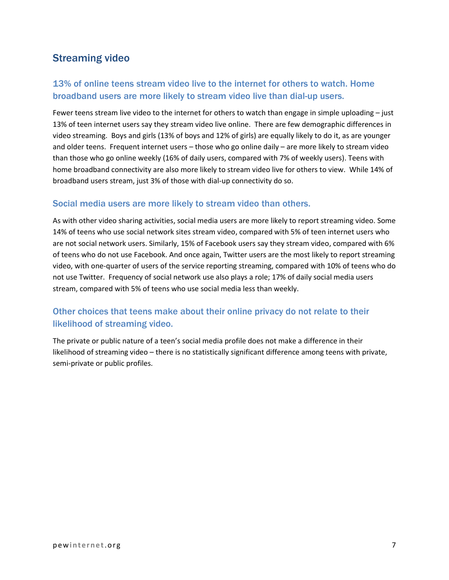# Streaming video

# 13% of online teens stream video live to the internet for others to watch. Home broadband users are more likely to stream video live than dial-up users.

Fewer teens stream live video to the internet for others to watch than engage in simple uploading – just 13% of teen internet users say they stream video live online. There are few demographic differences in video streaming. Boys and girls (13% of boys and 12% of girls) are equally likely to do it, as are younger and older teens. Frequent internet users – those who go online daily – are more likely to stream video than those who go online weekly (16% of daily users, compared with 7% of weekly users). Teens with home broadband connectivity are also more likely to stream video live for others to view. While 14% of broadband users stream, just 3% of those with dial-up connectivity do so.

### Social media users are more likely to stream video than others.

As with other video sharing activities, social media users are more likely to report streaming video. Some 14% of teens who use social network sites stream video, compared with 5% of teen internet users who are not social network users. Similarly, 15% of Facebook users say they stream video, compared with 6% of teens who do not use Facebook. And once again, Twitter users are the most likely to report streaming video, with one-quarter of users of the service reporting streaming, compared with 10% of teens who do not use Twitter. Frequency of social network use also plays a role; 17% of daily social media users stream, compared with 5% of teens who use social media less than weekly.

# Other choices that teens make about their online privacy do not relate to their likelihood of streaming video.

The private or public nature of a teen's social media profile does not make a difference in their likelihood of streaming video – there is no statistically significant difference among teens with private, semi-private or public profiles.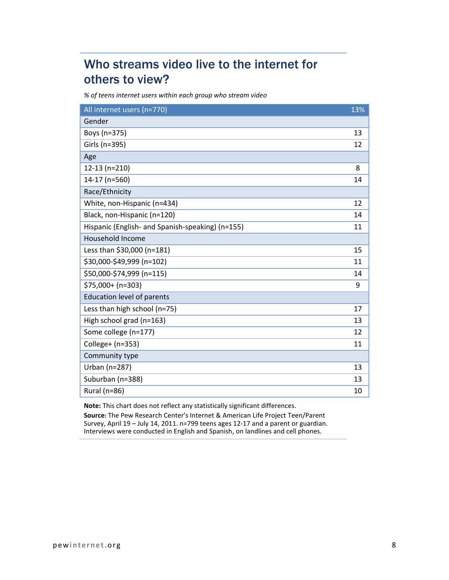# Who streams video live to the internet for others to view?

*% of teens internet users within each group who stream video*

| All internet users (n=770)                       | 13% |
|--------------------------------------------------|-----|
| Gender                                           |     |
| Boys (n=375)                                     | 13  |
| Girls (n=395)                                    | 12  |
| Age                                              |     |
| 12-13 (n=210)                                    | 8   |
| 14-17 (n=560)                                    | 14  |
| Race/Ethnicity                                   |     |
| White, non-Hispanic (n=434)                      | 12  |
| Black, non-Hispanic (n=120)                      | 14  |
| Hispanic (English- and Spanish-speaking) (n=155) | 11  |
| Household Income                                 |     |
| Less than \$30,000 (n=181)                       | 15  |
| \$30,000-\$49,999 (n=102)                        | 11  |
| \$50,000-\$74,999 (n=115)                        | 14  |
| \$75,000+ (n=303)                                | 9   |
| <b>Education level of parents</b>                |     |
| Less than high school (n=75)                     | 17  |
| High school grad (n=163)                         | 13  |
| Some college (n=177)                             | 12  |
| College+ (n=353)                                 | 11  |
| Community type                                   |     |
| Urban (n=287)                                    | 13  |
| Suburban (n=388)                                 | 13  |
| Rural (n=86)                                     | 10  |

**Note:** This chart does not reflect any statistically significant differences.

**Source:** The Pew Research Center's Internet & American Life Project Teen/Parent Survey, April 19 – July 14, 2011. n=799 teens ages 12-17 and a parent or guardian. Interviews were conducted in English and Spanish, on landlines and cell phones.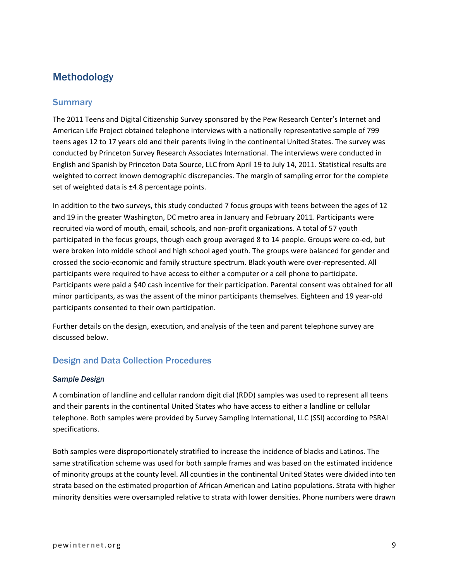# Methodology

### **Summary**

The 2011 Teens and Digital Citizenship Survey sponsored by the Pew Research Center's Internet and American Life Project obtained telephone interviews with a nationally representative sample of 799 teens ages 12 to 17 years old and their parents living in the continental United States. The survey was conducted by Princeton Survey Research Associates International. The interviews were conducted in English and Spanish by Princeton Data Source, LLC from April 19 to July 14, 2011. Statistical results are weighted to correct known demographic discrepancies. The margin of sampling error for the complete set of weighted data is  $\pm 4.8$  percentage points.

In addition to the two surveys, this study conducted 7 focus groups with teens between the ages of 12 and 19 in the greater Washington, DC metro area in January and February 2011. Participants were recruited via word of mouth, email, schools, and non-profit organizations. A total of 57 youth participated in the focus groups, though each group averaged 8 to 14 people. Groups were co-ed, but were broken into middle school and high school aged youth. The groups were balanced for gender and crossed the socio-economic and family structure spectrum. Black youth were over-represented. All participants were required to have access to either a computer or a cell phone to participate. Participants were paid a \$40 cash incentive for their participation. Parental consent was obtained for all minor participants, as was the assent of the minor participants themselves. Eighteen and 19 year-old participants consented to their own participation.

Further details on the design, execution, and analysis of the teen and parent telephone survey are discussed below.

### Design and Data Collection Procedures

#### *Sample Design*

A combination of landline and cellular random digit dial (RDD) samples was used to represent all teens and their parents in the continental United States who have access to either a landline or cellular telephone. Both samples were provided by Survey Sampling International, LLC (SSI) according to PSRAI specifications.

Both samples were disproportionately stratified to increase the incidence of blacks and Latinos. The same stratification scheme was used for both sample frames and was based on the estimated incidence of minority groups at the county level. All counties in the continental United States were divided into ten strata based on the estimated proportion of African American and Latino populations. Strata with higher minority densities were oversampled relative to strata with lower densities. Phone numbers were drawn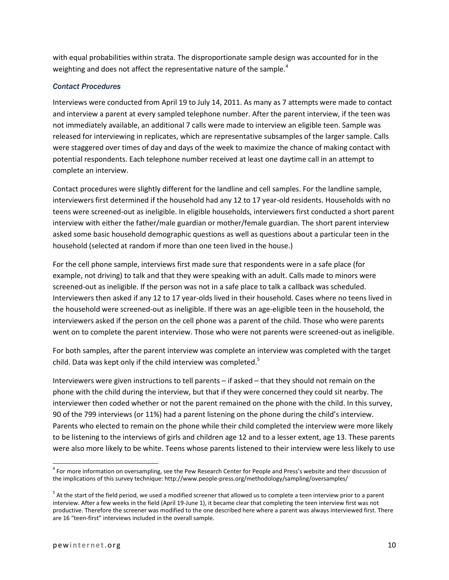with equal probabilities within strata. The disproportionate sample design was accounted for in the weighting and does not affect the representative nature of the sample.<sup>4</sup>

#### *Contact Procedures*

Interviews were conducted from April 19 to July 14, 2011. As many as 7 attempts were made to contact and interview a parent at every sampled telephone number. After the parent interview, if the teen was not immediately available, an additional 7 calls were made to interview an eligible teen. Sample was released for interviewing in replicates, which are representative subsamples of the larger sample. Calls were staggered over times of day and days of the week to maximize the chance of making contact with potential respondents. Each telephone number received at least one daytime call in an attempt to complete an interview.

Contact procedures were slightly different for the landline and cell samples. For the landline sample, interviewers first determined if the household had any 12 to 17 year-old residents. Households with no teens were screened-out as ineligible. In eligible households, interviewers first conducted a short parent interview with either the father/male guardian or mother/female guardian. The short parent interview asked some basic household demographic questions as well as questions about a particular teen in the household (selected at random if more than one teen lived in the house.)

For the cell phone sample, interviews first made sure that respondents were in a safe place (for example, not driving) to talk and that they were speaking with an adult. Calls made to minors were screened-out as ineligible. If the person was not in a safe place to talk a callback was scheduled. Interviewers then asked if any 12 to 17 year-olds lived in their household. Cases where no teens lived in the household were screened-out as ineligible. If there was an age-eligible teen in the household, the interviewers asked if the person on the cell phone was a parent of the child. Those who were parents went on to complete the parent interview. Those who were not parents were screened-out as ineligible.

For both samples, after the parent interview was complete an interview was completed with the target child. Data was kept only if the child interview was completed. $5$ 

Interviewers were given instructions to tell parents – if asked – that they should not remain on the phone with the child during the interview, but that if they were concerned they could sit nearby. The interviewer then coded whether or not the parent remained on the phone with the child. In this survey, 90 of the 799 interviews (or 11%) had a parent listening on the phone during the child's interview. Parents who elected to remain on the phone while their child completed the interview were more likely to be listening to the interviews of girls and children age 12 and to a lesser extent, age 13. These parents were also more likely to be white. Teens whose parents listened to their interview were less likely to use

 4 For more information on oversampling, see the Pew Research Center for People and Press's website and their discussion of the implications of this survey technique: http://www.people-press.org/methodology/sampling/oversamples/

 $5$  At the start of the field period, we used a modified screener that allowed us to complete a teen interview prior to a parent interview. After a few weeks in the field (April 19-June 1), it became clear that completing the teen interview first was not productive. Therefore the screener was modified to the one described here where a parent was always interviewed first. There are 16 "teen-first" interviews included in the overall sample.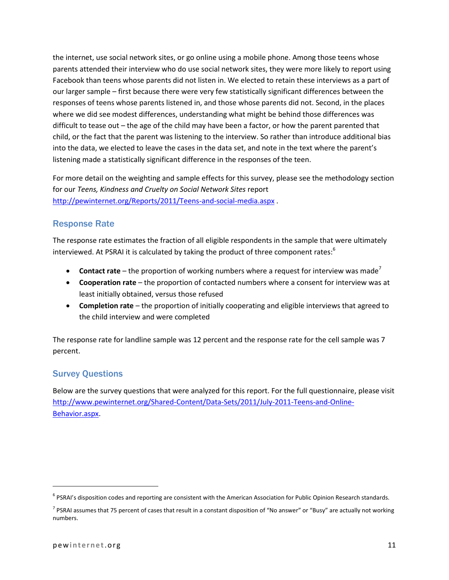the internet, use social network sites, or go online using a mobile phone. Among those teens whose parents attended their interview who do use social network sites, they were more likely to report using Facebook than teens whose parents did not listen in. We elected to retain these interviews as a part of our larger sample – first because there were very few statistically significant differences between the responses of teens whose parents listened in, and those whose parents did not. Second, in the places where we did see modest differences, understanding what might be behind those differences was difficult to tease out – the age of the child may have been a factor, or how the parent parented that child, or the fact that the parent was listening to the interview. So rather than introduce additional bias into the data, we elected to leave the cases in the data set, and note in the text where the parent's listening made a statistically significant difference in the responses of the teen.

For more detail on the weighting and sample effects for this survey, please see the methodology section for our *Teens, Kindness and Cruelty on Social Network Sites* report <http://pewinternet.org/Reports/2011/Teens-and-social-media.aspx> .

### Response Rate

The response rate estimates the fraction of all eligible respondents in the sample that were ultimately interviewed. At PSRAI it is calculated by taking the product of three component rates: $6$ 

- **Contact rate** the proportion of working numbers where a request for interview was made<sup>7</sup>
- **Cooperation rate** the proportion of contacted numbers where a consent for interview was at least initially obtained, versus those refused
- **Completion rate** the proportion of initially cooperating and eligible interviews that agreed to the child interview and were completed

The response rate for landline sample was 12 percent and the response rate for the cell sample was 7 percent.

### Survey Questions

Below are the survey questions that were analyzed for this report. For the full questionnaire, please visit [http://www.pewinternet.org/Shared-Content/Data-Sets/2011/July-2011-Teens-and-Online-](http://www.pewinternet.org/Shared-Content/Data-Sets/2011/July-2011-Teens-and-Online-Behavior.aspx)[Behavior.aspx.](http://www.pewinternet.org/Shared-Content/Data-Sets/2011/July-2011-Teens-and-Online-Behavior.aspx)

 $\overline{\phantom{a}}$ 

<sup>&</sup>lt;sup>6</sup> PSRAI's disposition codes and reporting are consistent with the American Association for Public Opinion Research standards.

<sup>&</sup>lt;sup>7</sup> PSRAI assumes that 75 percent of cases that result in a constant disposition of "No answer" or "Busy" are actually not working numbers.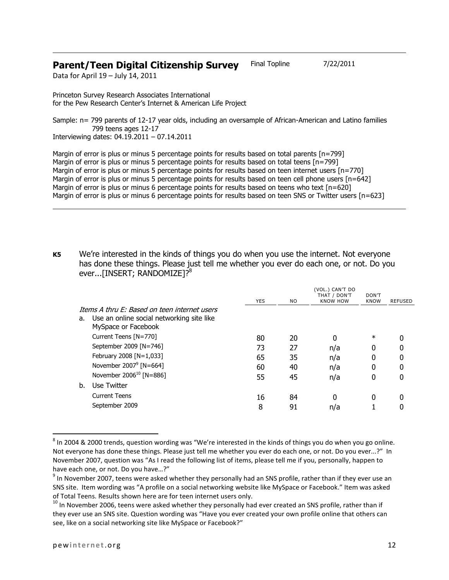### **Parent/Teen Digital Citizenship Survey** Final Topline 7/22/2011

Data for April 19 – July 14, 2011

Princeton Survey Research Associates International for the Pew Research Center's Internet & American Life Project

Sample: n= 799 parents of 12-17 year olds, including an oversample of African-American and Latino families 799 teens ages 12-17 Interviewing dates: 04.19.2011 – 07.14.2011

Margin of error is plus or minus 5 percentage points for results based on total parents [n=799] Margin of error is plus or minus 5 percentage points for results based on total teens [n=799] Margin of error is plus or minus 5 percentage points for results based on teen internet users [n=770] Margin of error is plus or minus 5 percentage points for results based on teen cell phone users [n=642] Margin of error is plus or minus 6 percentage points for results based on teens who text [n=620] Margin of error is plus or minus 6 percentage points for results based on teen SNS or Twitter users [n=623]

**K5** We're interested in the kinds of things you do when you use the internet. Not everyone has done these things. Please just tell me whether you ever do each one, or not. Do you ever...[INSERT; RANDOMIZE]?<sup>8</sup>

|    |                                                                                                                  | <b>YES</b> | N <sub>O</sub> | (VOL.) CAN'T DO<br>THAT / DON'T<br><b>KNOW HOW</b> | DON'T<br><b>KNOW</b> | <b>REFUSED</b> |
|----|------------------------------------------------------------------------------------------------------------------|------------|----------------|----------------------------------------------------|----------------------|----------------|
| a. | Thems A thru F: Based on teen internet users<br>Use an online social networking site like<br>MySpace or Facebook |            |                |                                                    |                      |                |
|    | Current Teens [N=770]                                                                                            | 80         | 20             | 0                                                  | $\ast$               |                |
|    | September 2009 [N=746]                                                                                           | 73         | 27             | n/a                                                | 0                    | 0              |
|    | February 2008 [N=1,033]                                                                                          | 65         | 35             | n/a                                                | 0                    | 0              |
|    | November $2007^9$ [N=664]                                                                                        | 60         | 40             | n/a                                                | 0                    | 0              |
|    | November 2006 <sup>10</sup> [N=886]                                                                              | 55         | 45             | n/a                                                | 0                    | 0              |
| b. | Use Twitter                                                                                                      |            |                |                                                    |                      |                |
|    | <b>Current Teens</b>                                                                                             | 16         | 84             | 0                                                  | $\Omega$             | 0              |
|    | September 2009                                                                                                   | 8          | 91             | n/a                                                |                      |                |

 $^8$  In 2004 & 2000 trends, question wording was "We're interested in the kinds of things you do when you go online. Not everyone has done these things. Please just tell me whether you ever do each one, or not. Do you ever...?" In November 2007, question was "As I read the following list of items, please tell me if you, personally, happen to have each one, or not. Do you have…?"

 $\overline{\phantom{a}}$ 

 $9$  In November 2007, teens were asked whether they personally had an SNS profile, rather than if they ever use an SNS site. Item wording was "A profile on a social networking website like MySpace or Facebook." Item was asked of Total Teens. Results shown here are for teen internet users only.

 $^{10}$  In November 2006, teens were asked whether they personally had ever created an SNS profile, rather than if they ever use an SNS site. Question wording was "Have you ever created your own profile online that others can see, like on a social networking site like MySpace or Facebook?"